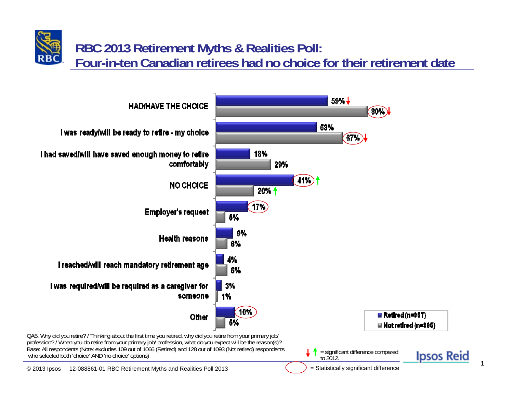## **RBC 2013 Retirement Myths & Realities Poll: Four-in-ten Canadian retirees had no choice for their retirement date**



**1**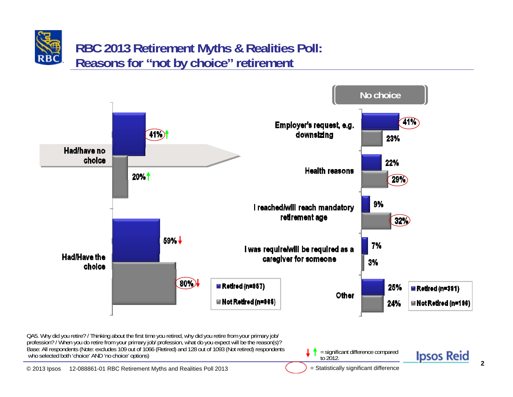## **RBC 2013 Retirement Myths & Realities Poll: Reasons for "not by choice" retirement**

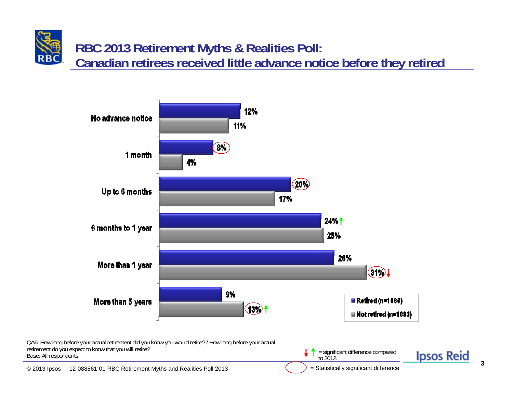**RBC 2013 Retirement Myths & Realities Poll: Canadian retirees received little advance notice before they retired**



**3**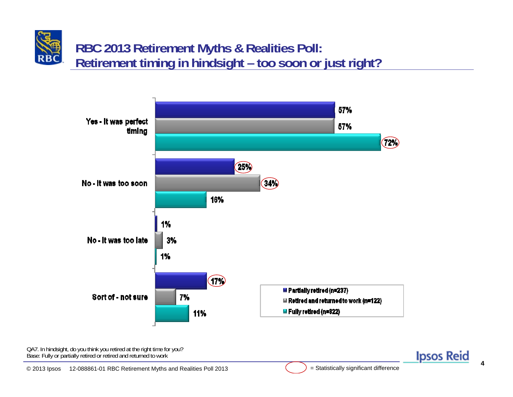**RBC 2013 Retirement Myths & Realities Poll: Retirement timing in hindsight – too soon or just right?**



QA7. In hindsight, do you think you retired at the right time for you? Base: Fully or partially retired or retired and returned to work

**Ipsos Reid**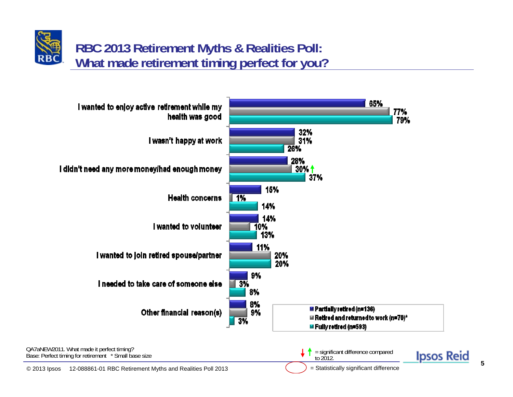## **RBC 2013 Retirement Myths & Realities Poll: What made retirement timing perfect for you?**